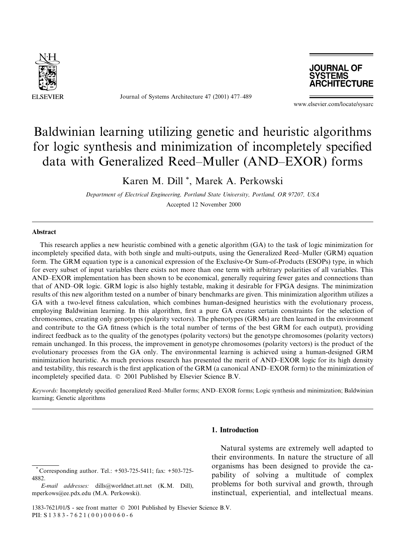

Journal of Systems Architecture 47 (2001) 477–489



www.elsevier.com/locate/sysarc

# Baldwinian learning utilizing genetic and heuristic algorithms for logic synthesis and minimization of incompletely specified data with Generalized Reed–Muller (AND–EXOR) forms

### Karen M. Dill<sup>\*</sup>, Marek A. Perkowski

Department of Electrical Engineering, Portland State University, Portland, OR 97207, USA Accepted 12 November 2000

#### Abstract

This research applies a new heuristic combined with a genetic algorithm (GA) to the task of logic minimization for incompletely specified data, with both single and multi-outputs, using the Generalized Reed–Muller (GRM) equation form. The GRM equation type is a canonical expression of the Exclusive-Or Sum-of-Products (ESOPs) type, in which for every subset of input variables there exists not more than one term with arbitrary polarities of all variables. This AND-EXOR implementation has been shown to be economical, generally requiring fewer gates and connections than that of AND-OR logic. GRM logic is also highly testable, making it desirable for FPGA designs. The minimization results of this new algorithm tested on a number of binary benchmarks are given. This minimization algorithm utilizes a GA with a two-level fitness calculation, which combines human-designed heuristics with the evolutionary process, employing Baldwinian learning. In this algorithm, first a pure GA creates certain constraints for the selection of chromosomes, creating only genotypes (polarity vectors). The phenotypes (GRMs) are then learned in the environment and contribute to the GA fitness (which is the total number of terms of the best GRM for each output), providing indirect feedback as to the quality of the genotypes (polarity vectors) but the genotype chromosomes (polarity vectors) remain unchanged. In this process, the improvement in genotype chromosomes (polarity vectors) is the product of the evolutionary processes from the GA only. The environmental learning is achieved using a human-designed GRM minimization heuristic. As much previous research has presented the merit of AND-EXOR logic for its high density and testability, this research is the first application of the GRM (a canonical AND–EXOR form) to the minimization of incompletely specified data. © 2001 Published by Elsevier Science B.V.

Keywords: Incompletely specified generalized Reed–Muller forms; AND–EXOR forms; Logic synthesis and minimization; Baldwinian learning; Genetic algorithms

### 1. Introduction

E-mail addresses: dills@worldnet.att.net (K.M. Dill), mperkows@ee.pdx.edu (M.A. Perkowski).

Natural systems are extremely well adapted to their environments. In nature the structure of all organisms has been designed to provide the capability of solving a multitude of complex problems for both survival and growth, through instinctual, experiential, and intellectual means.

Corresponding author. Tel.: +503-725-5411; fax: +503-725-4882

<sup>1383-7621/01/\$ -</sup> see front matter © 2001 Published by Elsevier Science B.V. PII: S 1 3 8 3 - 7 6 2 1 (00) 000 6 0 - 6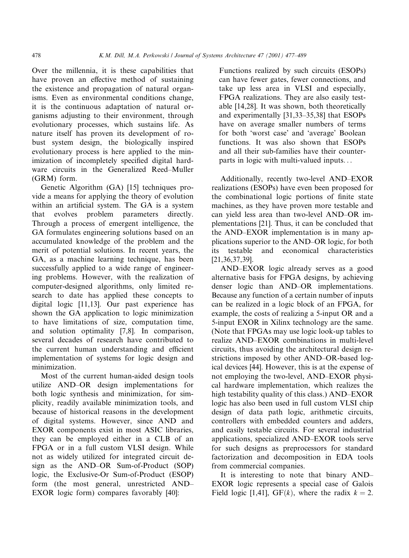Over the millennia, it is these capabilities that have proven an effective method of sustaining the existence and propagation of natural organisms. Even as environmental conditions change, it is the continuous adaptation of natural organisms adjusting to their environment, through evolutionary processes, which sustains life. As nature itself has proven its development of robust system design, the biologically inspired evolutionary process is here applied to the minimization of incompletely specified digital hardware circuits in the Generalized Reed-Muller (GRM) form.

Genetic Algorithm (GA) [15] techniques provide a means for applying the theory of evolution within an artificial system. The GA is a system that evolves problem parameters directly. Through a process of emergent intelligence, the GA formulates engineering solutions based on an accumulated knowledge of the problem and the merit of potential solutions. In recent years, the GA, as a machine learning technique, has been successfully applied to a wide range of engineering problems. However, with the realization of computer-designed algorithms, only limited research to date has applied these concepts to digital logic [11,13]. Our past experience has shown the GA application to logic minimization to have limitations of size, computation time, and solution optimality [7,8]. In comparison, several decades of research have contributed to the current human understanding and efficient implementation of systems for logic design and minimization.

Most of the current human-aided design tools utilize AND-OR design implementations for both logic synthesis and minimization, for simplicity, readily available minimization tools, and because of historical reasons in the development of digital systems. However, since AND and EXOR components exist in most ASIC libraries, they can be employed either in a CLB of an FPGA or in a full custom VLSI design. While not as widely utilized for integrated circuit design as the AND-OR Sum-of-Product (SOP) logic, the Exclusive-Or Sum-of-Product (ESOP) form (the most general, unrestricted AND-EXOR logic form) compares favorably [40]:

Functions realized by such circuits (ESOPs) can have fewer gates, fewer connections, and take up less area in VLSI and especially, FPGA realizations. They are also easily testable [14,28]. It was shown, both theoretically and experimentally [31,33–35,38] that ESOPs have on average smaller numbers of terms for both 'worst case' and 'average' Boolean functions. It was also shown that ESOPs and all their sub-families have their counterparts in logic with multi-valued inputs...

Additionally, recently two-level AND-EXOR realizations (ESOPs) have even been proposed for the combinational logic portions of finite state machines, as they have proven more testable and can yield less area than two-level AND-OR implementations [21]. Thus, it can be concluded that the AND-EXOR implementation is in many applications superior to the AND–OR logic, for both its testable and economical characteristics  $[21, 36, 37, 39]$ .

AND-EXOR logic already serves as a good alternative basis for FPGA designs, by achieving denser logic than AND-OR implementations. Because any function of a certain number of inputs can be realized in a logic block of an FPGA, for example, the costs of realizing a 5-input OR and a 5-input EXOR in Xilinx technology are the same. (Note that FPGAs may use logic look-up tables to realize AND-EXOR combinations in multi-level circuits, thus avoiding the architectural design restrictions imposed by other AND-OR-based logical devices [44]. However, this is at the expense of not employing the two-level, AND-EXOR physical hardware implementation, which realizes the high testability quality of this class.) AND-EXOR logic has also been used in full custom VLSI chip design of data path logic, arithmetic circuits, controllers with embedded counters and adders, and easily testable circuits. For several industrial applications, specialized AND-EXOR tools serve for such designs as preprocessors for standard factorization and decomposition in EDA tools from commercial companies.

It is interesting to note that binary AND-EXOR logic represents a special case of Galois Field logic [1,41], GF(k), where the radix  $k = 2$ .